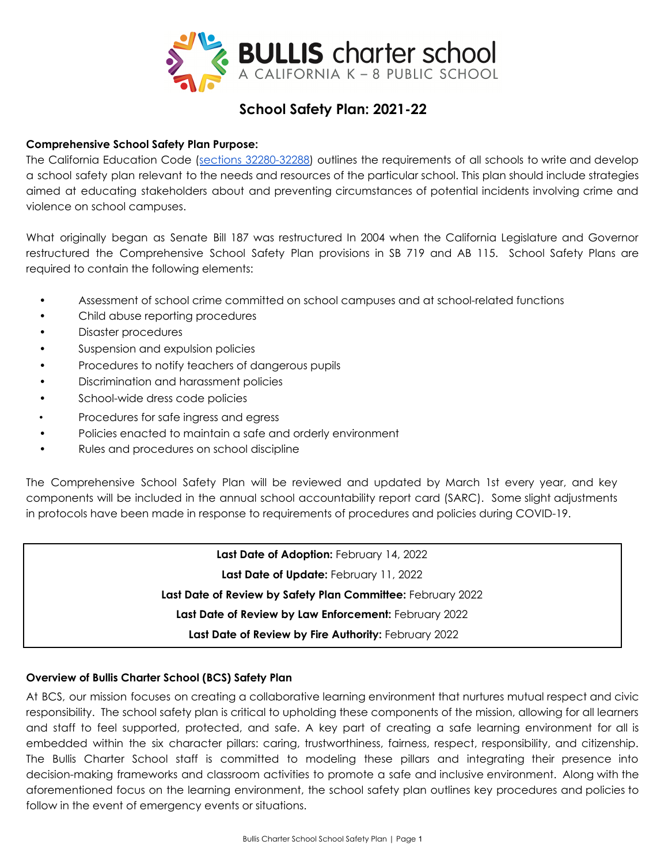

# **School Safety Plan: 2021-22**

# **Comprehensive School Safety Plan Purpose:**

The California Education Code (sections [32280-32288\)](https://leginfo.legislature.ca.gov/faces/codes_displaySection.xhtml?lawCode=EDC§ionNum=32280) outlines the requirements of all schools to write and develop a school safety plan relevant to the needs and resources of the particular school. This plan should include strategies aimed at educating stakeholders about and preventing circumstances of potential incidents involving crime and violence on school campuses.

What originally began as Senate Bill 187 was restructured In 2004 when the California Legislature and Governor restructured the Comprehensive School Safety Plan provisions in SB 719 and AB 115. School Safety Plans are required to contain the following elements:

- Assessment of school crime committed on school campuses and at school-related functions
- Child abuse reporting procedures
- Disaster procedures
- Suspension and expulsion policies
- Procedures to notify teachers of dangerous pupils
- Discrimination and harassment policies
- School-wide dress code policies
- Procedures for safe ingress and egress
- Policies enacted to maintain a safe and orderly environment
- Rules and procedures on school discipline

The Comprehensive School Safety Plan will be reviewed and updated by March 1st every year, and key components will be included in the annual school accountability report card (SARC). Some slight adjustments in protocols have been made in response to requirements of procedures and policies during COVID-19.

> **Last Date of Adoption:** February 14, 2022 **Last Date of Update:** February 11, 2022 **Last Date of Review by Safety Plan Committee:** February 2022 **Last Date of Review by Law Enforcement:** February 2022 **Last Date of Review by Fire Authority:** February 2022

#### **Overview of Bullis Charter School (BCS) Safety Plan**

At BCS, our mission focuses on creating a collaborative learning environment that nurtures mutual respect and civic responsibility. The school safety plan is critical to upholding these components of the mission, allowing for all learners and staff to feel supported, protected, and safe. A key part of creating a safe learning environment for all is embedded within the six character pillars: caring, trustworthiness, fairness, respect, responsibility, and citizenship. The Bullis Charter School staff is committed to modeling these pillars and integrating their presence into decision-making frameworks and classroom activities to promote a safe and inclusive environment. Along with the aforementioned focus on the learning environment, the school safety plan outlines key procedures and policies to follow in the event of emergency events or situations.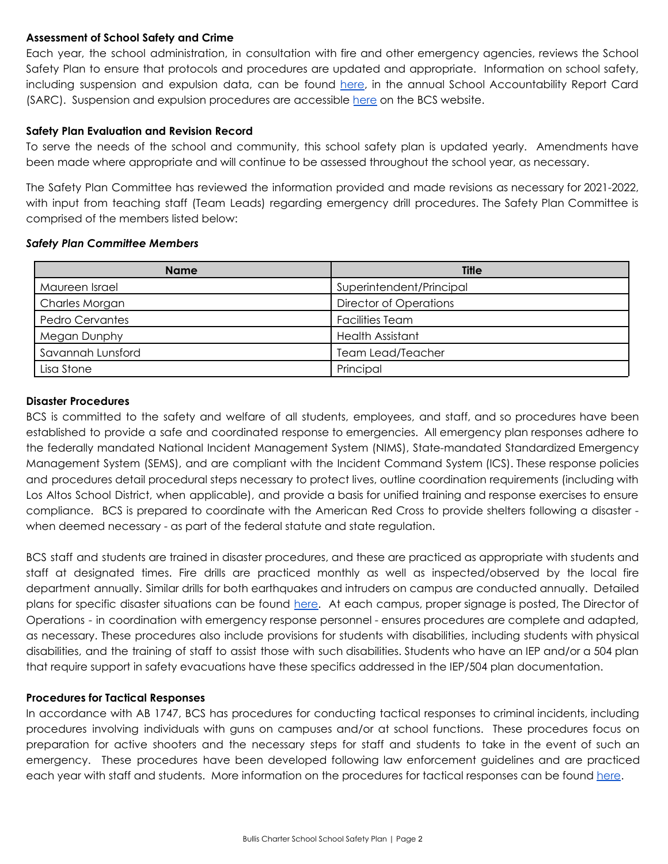### **Assessment of School Safety and Crime**

Each year, the school administration, in consultation with fire and other emergency agencies, reviews the School Safety Plan to ensure that protocols and procedures are updated and appropriate. Information on school safety, including suspension and expulsion data, can be found [here](https://sarconline.org/public/print/43104390106534/2020-2021), in the annual School Accountability Report Card (SARC). Suspension and expulsion procedures are accessible [here](http://www.bullischarterschool.com/wp-content/uploads/2019/01/BCS%20Suspension%20and%20Expulsion%20Procedures.pdf) on the BCS website.

#### **Safety Plan Evaluation and Revision Record**

To serve the needs of the school and community, this school safety plan is updated yearly. Amendments have been made where appropriate and will continue to be assessed throughout the school year, as necessary.

The Safety Plan Committee has reviewed the information provided and made revisions as necessary for 2021-2022, with input from teaching staff (Team Leads) regarding emergency drill procedures. The Safety Plan Committee is comprised of the members listed below:

#### *Safety Plan Committee Members*

| <b>Name</b>            | <b>Title</b>                  |
|------------------------|-------------------------------|
| Maureen Israel         | Superintendent/Principal      |
| Charles Morgan         | <b>Director of Operations</b> |
| <b>Pedro Cervantes</b> | <b>Facilities Team</b>        |
| Megan Dunphy           | <b>Health Assistant</b>       |
| Savannah Lunsford      | <b>Team Lead/Teacher</b>      |
| Lisa Stone             | Principal                     |

# **Disaster Procedures**

BCS is committed to the safety and welfare of all students, employees, and staff, and so procedures have been established to provide a safe and coordinated response to emergencies. All emergency plan responses adhere to the federally mandated National Incident Management System (NIMS), State-mandated Standardized Emergency Management System (SEMS), and are compliant with the Incident Command System (ICS). These response policies and procedures detail procedural steps necessary to protect lives, outline coordination requirements (including with Los Altos School District, when applicable), and provide a basis for unified training and response exercises to ensure compliance. BCS is prepared to coordinate with the American Red Cross to provide shelters following a disaster when deemed necessary - as part of the federal statute and state regulation.

BCS staff and students are trained in disaster procedures, and these are practiced as appropriate with students and staff at designated times. Fire drills are practiced monthly as well as inspected/observed by the local fire department annually. Similar drills for both earthquakes and intruders on campus are conducted annually. Detailed plans for specific disaster situations can be found [here.](https://docs.google.com/document/d/1oLgTYdG5n3J5d96gnMoOPYZBMg8ba22U5Sowfhy6SZE/edit?usp=sharing) At each campus, proper signage is posted, The Director of Operations - in coordination with emergency response personnel - ensures procedures are complete and adapted, as necessary. These procedures also include provisions for students with disabilities, including students with physical disabilities, and the training of staff to assist those with such disabilities. Students who have an IEP and/or a 504 plan that require support in safety evacuations have these specifics addressed in the IEP/504 plan documentation.

# **Procedures for Tactical Responses**

In accordance with AB 1747, BCS has procedures for conducting tactical responses to criminal incidents, including procedures involving individuals with guns on campuses and/or at school functions. These procedures focus on preparation for active shooters and the necessary steps for staff and students to take in the event of such an emergency. These procedures have been developed following law enforcement guidelines and are practiced each year with staff and students. More information on the procedures for tactical responses can be found [here](https://docs.google.com/document/d/1oLgTYdG5n3J5d96gnMoOPYZBMg8ba22U5Sowfhy6SZE/edit?usp=sharing).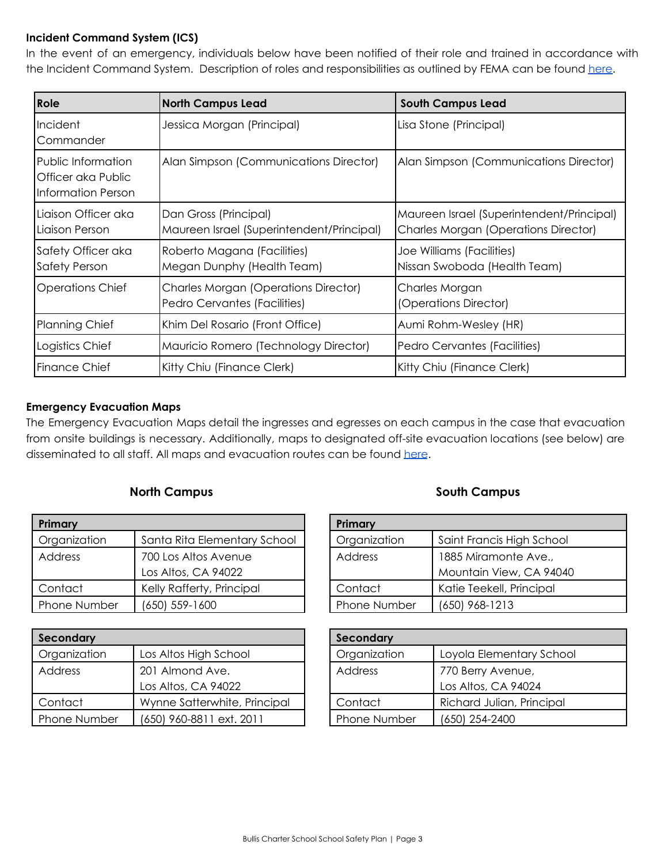# **Incident Command System (ICS)**

In the event of an emergency, individuals below have been notified of their role and trained in accordance with the Incident Command System. Description of roles and responsibilities as outlined by FEMA can be found [here.](https://drive.google.com/file/d/1uApIqnRqw1FILfkc5YqQlwSKSQHE9mmy/view?usp=sharing)

| <b>Role</b>                                                    | <b>North Campus Lead</b>                                                    | <b>South Campus Lead</b>                                                                 |
|----------------------------------------------------------------|-----------------------------------------------------------------------------|------------------------------------------------------------------------------------------|
| Incident<br>Commander                                          | Jessica Morgan (Principal)                                                  | Lisa Stone (Principal)                                                                   |
| Public Information<br>Officer aka Public<br>Information Person | Alan Simpson (Communications Director)                                      | Alan Simpson (Communications Director)                                                   |
| Liaison Officer aka<br>l Liaison Person                        | Dan Gross (Principal)<br>Maureen Israel (Superintendent/Principal)          | Maureen Israel (Superintendent/Principal)<br><b>Charles Morgan (Operations Director)</b> |
| Safety Officer aka<br>Safety Person                            | Roberto Magana (Facilities)<br>Megan Dunphy (Health Team)                   | Joe Williams (Facilities)<br>Nissan Swoboda (Health Team)                                |
| <b>Operations Chief</b>                                        | <b>Charles Morgan (Operations Director)</b><br>Pedro Cervantes (Facilities) | Charles Morgan<br>(Operations Director)                                                  |
| Planning Chief                                                 | Khim Del Rosario (Front Office)                                             | Aumi Rohm-Wesley (HR)                                                                    |
| Logistics Chief                                                | Mauricio Romero (Technology Director)                                       | Pedro Cervantes (Facilities)                                                             |
| l Finance Chief                                                | Kitty Chiu (Finance Clerk)                                                  | Kitty Chiu (Finance Clerk)                                                               |

# **Emergency Evacuation Maps**

The Emergency Evacuation Maps detail the ingresses and egresses on each campus in the case that evacuation from onsite buildings is necessary. Additionally, maps to designated off-site evacuation locations (see below) are disseminated to all staff. All maps and evacuation routes can be found [here](https://docs.google.com/document/d/1oLgTYdG5n3J5d96gnMoOPYZBMg8ba22U5Sowfhy6SZE/edit?usp=sharing).

# **North Campus South Campus**

| Primary      |                              |  |
|--------------|------------------------------|--|
| Organization | Santa Rita Elementary School |  |
| Address      | 700 Los Altos Avenue         |  |
|              | Los Altos, CA 94022          |  |
| Contact      | Kelly Rafferty, Principal    |  |
| Phone Number | (650) 559-1600               |  |

| Secondary    |                              |
|--------------|------------------------------|
| Organization | Los Altos High School        |
| Address      | 201 Almond Ave.              |
|              | Los Altos, CA 94022          |
| Contact      | Wynne Satterwhite, Principal |
| Phone Number | (650) 960-8811 ext. 2011     |

| Primary      |                           |  |
|--------------|---------------------------|--|
| Organization | Saint Francis High School |  |
| Address      | 1885 Miramonte Ave.,      |  |
|              | Mountain View, CA 94040   |  |
| Contact      | Katie Teekell, Principal  |  |
| Phone Number | (650) 968-1213            |  |

| Secondary    |                           |  |
|--------------|---------------------------|--|
| Organization | Loyola Elementary School  |  |
| Address      | 770 Berry Avenue,         |  |
|              | Los Altos, CA 94024       |  |
| Contact      | Richard Julian, Principal |  |
| Phone Number | (650) 254-2400            |  |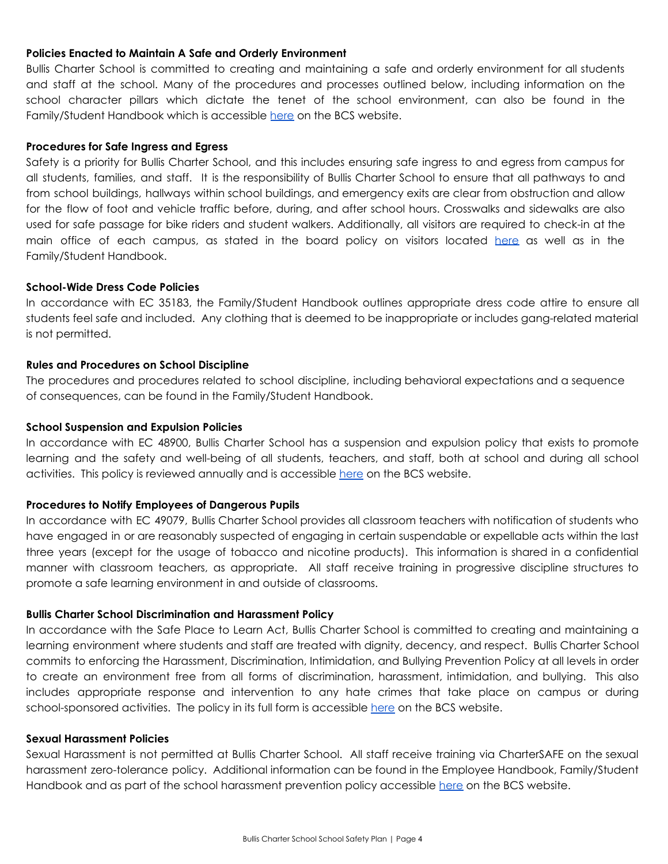#### **Policies Enacted to Maintain A Safe and Orderly Environment**

Bullis Charter School is committed to creating and maintaining a safe and orderly environment for all students and staff at the school. Many of the procedures and processes outlined below, including information on the school character pillars which dictate the tenet of the school environment, can also be found in the Family/Student Handbook which is accessible [here](http://www.bullischarterschool.com/wp-content/uploads/2021/08/21-22-BCS-Family_Student-Handbook-FINAL.pdf) on the BCS website.

#### **Procedures for Safe Ingress and Egress**

Safety is a priority for Bullis Charter School, and this includes ensuring safe ingress to and egress from campus for all students, families, and staff. It is the responsibility of Bullis Charter School to ensure that all pathways to and from school buildings, hallways within school buildings, and emergency exits are clear from obstruction and allow for the flow of foot and vehicle traffic before, during, and after school hours. Crosswalks and sidewalks are also used for safe passage for bike riders and student walkers. Additionally, all visitors are required to check-in at the main office of each campus, as stated in the board policy on visitors located [here](https://drive.google.com/file/d/0B9kydMzPM5pNck5CTVRTNlNvVE9nalczVGFMb3M2cmxjYjdN/view) as well as in the Family/Student Handbook.

#### **School-Wide Dress Code Policies**

In accordance with EC 35183, the Family/Student Handbook outlines appropriate dress code attire to ensure all students feel safe and included. Any clothing that is deemed to be inappropriate or includes gang-related material is not permitted.

#### **Rules and Procedures on School Discipline**

The procedures and procedures related to school discipline, including behavioral expectations and a sequence of consequences, can be found in the Family/Student Handbook.

#### **School Suspension and Expulsion Policies**

In accordance with EC 48900, Bullis Charter School has a suspension and expulsion policy that exists to promote learning and the safety and well-being of all students, teachers, and staff, both at school and during all school activities. This policy is reviewed annually and is accessible [here](http://www.bullischarterschool.com/wp-content/uploads/2019/01/BCS%20Suspension%20and%20Expulsion%20Procedures.pdf) on the BCS website.

#### **Procedures to Notify Employees of Dangerous Pupils**

In accordance with EC 49079, Bullis Charter School provides all classroom teachers with notification of students who have engaged in or are reasonably suspected of engaging in certain suspendable or expellable acts within the last three years (except for the usage of tobacco and nicotine products). This information is shared in a confidential manner with classroom teachers, as appropriate. All staff receive training in progressive discipline structures to promote a safe learning environment in and outside of classrooms.

#### **Bullis Charter School Discrimination and Harassment Policy**

In accordance with the Safe Place to Learn Act, Bullis Charter School is committed to creating and maintaining a learning environment where students and staff are treated with dignity, decency, and respect. Bullis Charter School commits to enforcing the Harassment, Discrimination, Intimidation, and Bullying Prevention Policy at all levels in order to create an environment free from all forms of discrimination, harassment, intimidation, and bullying. This also includes appropriate response and intervention to any hate crimes that take place on campus or during school-sponsored activities. The policy in its full form is accessible [here](http://www.bullischarterschool.com/wp-content/uploads/2020/08/BCS-BP-Harassment-Discrimination-Intimidation-and-Bullying-Prevention-Policy-Complaint-with-the-Safe-Place-to-Learn-Act-18-07-23.pdf) on the BCS website.

#### **Sexual Harassment Policies**

Sexual Harassment is not permitted at Bullis Charter School. All staff receive training via CharterSAFE on the sexual harassment zero-tolerance policy. Additional information can be found in the Employee Handbook, Family/Student Handbook and as part of the school harassment prevention policy accessible [here](http://www.bullischarterschool.com/wp-content/uploads/2020/08/BCS-BP-Harassment-Discrimination-Intimidation-and-Bullying-Prevention-Policy-Complaint-with-the-Safe-Place-to-Learn-Act-18-07-23.pdf) on the BCS website.